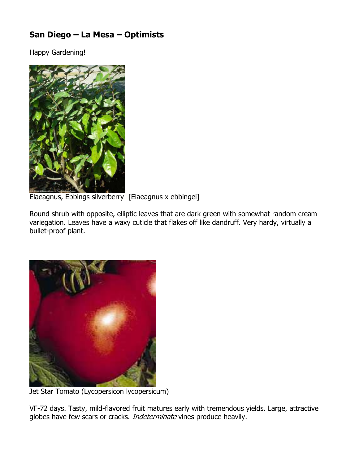## San Diego – La Mesa – Optimists

Happy Gardening!



Elaeagnus, Ebbings silverberry [Elaeagnus x ebbingei]

Round shrub with opposite, elliptic leaves that are dark green with somewhat random cream variegation. Leaves have a waxy cuticle that flakes off like dandruff. Very hardy, virtually a bullet-proof plant.



Jet Star Tomato (Lycopersicon lycopersicum)

VF-72 days. Tasty, mild-flavored fruit matures early with tremendous yields. Large, attractive globes have few scars or cracks. Indeterminate vines produce heavily.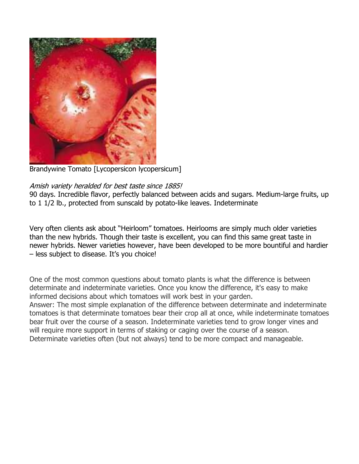

Brandywine Tomato [Lycopersicon lycopersicum]

## Amish variety heralded for best taste since 1885!

90 days. Incredible flavor, perfectly balanced between acids and sugars. Medium-large fruits, up to 1 1/2 lb., protected from sunscald by potato-like leaves. Indeterminate

Very often clients ask about "Heirloom" tomatoes. Heirlooms are simply much older varieties than the new hybrids. Though their taste is excellent, you can find this same great taste in newer hybrids. Newer varieties however, have been developed to be more bountiful and hardier – less subject to disease. It's you choice!

One of the most common questions about tomato plants is what the difference is between determinate and indeterminate varieties. Once you know the difference, it's easy to make informed decisions about which tomatoes will work best in your garden.

Answer: The most simple explanation of the difference between determinate and indeterminate tomatoes is that determinate tomatoes bear their crop all at once, while indeterminate tomatoes bear fruit over the course of a season. Indeterminate varieties tend to grow longer vines and will require more support in terms of staking or caging over the course of a season. Determinate varieties often (but not always) tend to be more compact and manageable.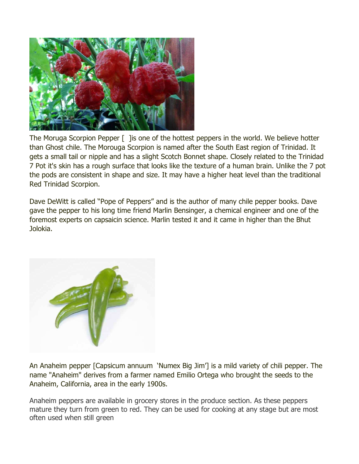

The Moruga Scorpion Pepper [ ] is one of the hottest peppers in the world. We believe hotter than Ghost chile. The Morouga Scorpion is named after the South East region of Trinidad. It gets a small tail or nipple and has a slight Scotch Bonnet shape. Closely related to the Trinidad 7 Pot it's skin has a rough surface that looks like the texture of a human brain. Unlike the 7 pot the pods are consistent in shape and size. It may have a higher heat level than the traditional Red Trinidad Scorpion.

Dave DeWitt is called "Pope of Peppers" and is the author of many chile pepper books. Dave gave the pepper to his long time friend Marlin Bensinger, a chemical engineer and one of the foremost experts on capsaicin science. Marlin tested it and it came in higher than the Bhut Jolokia.



An Anaheim pepper [Capsicum annuum 'Numex Big Jim'] is a mild variety of chili pepper. The name "Anaheim" derives from a farmer named Emilio Ortega who brought the seeds to the Anaheim, California, area in the early 1900s.

Anaheim peppers are available in grocery stores in the produce section. As these peppers mature they turn from green to red. They can be used for cooking at any stage but are most often used when still green